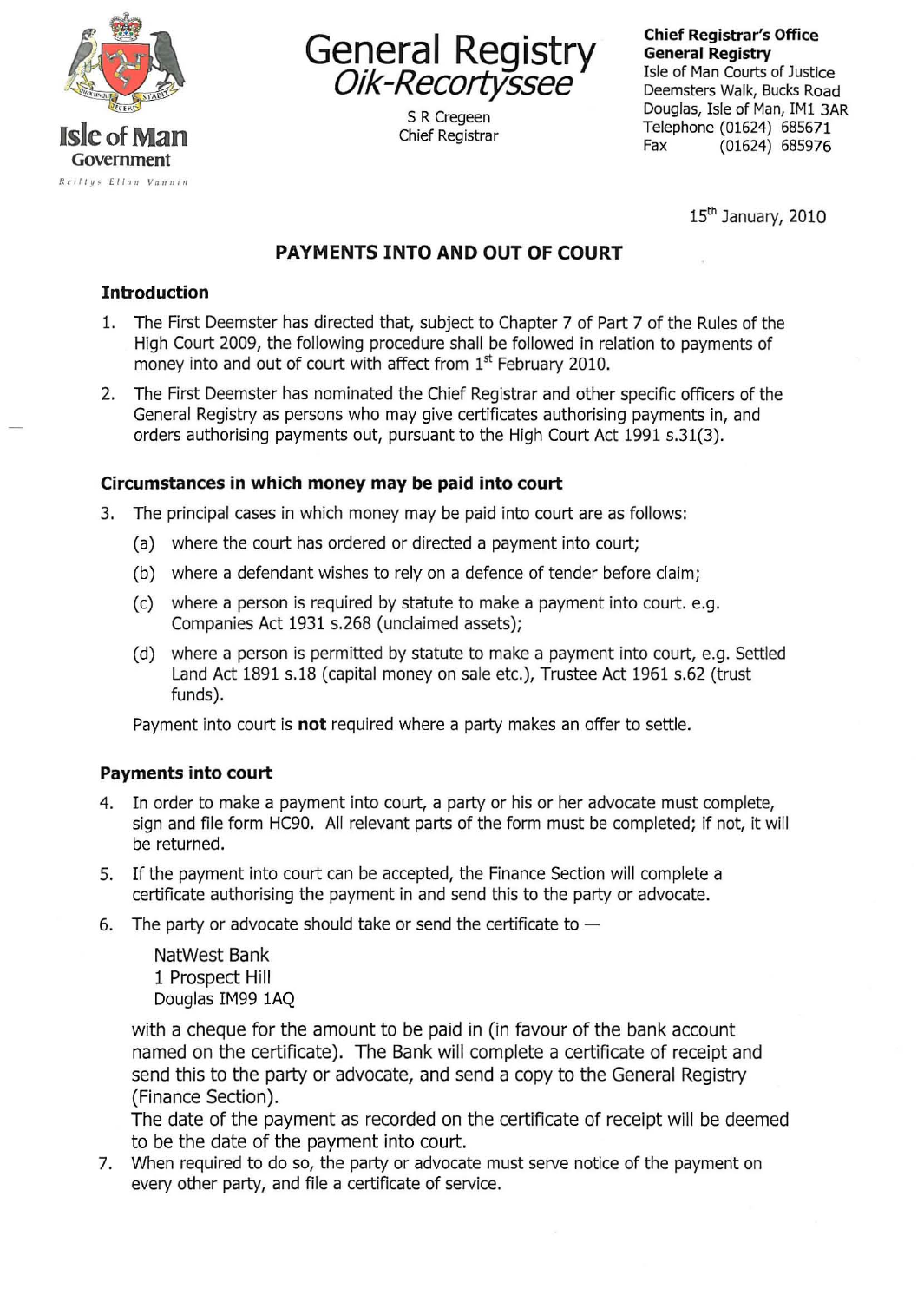



5 R Cregeen Chief Registrar **Chief Registrar's Office General Registry** 

Isle of Man Courts of Justice Deemsters Walk, Bucks Road Douglas, Isle of Man, IM1 3AR Telephone (01624) 685671 Fax (01624) 685976

 $15<sup>th</sup>$  January, 2010

# **PAYMENTS INTO AND OUT OF COURT**

### **Introduction**

- 1. The First Deemster has directed that, subject to Chapter 7 of Part 7 of the Rules of the High Court 2009, the following procedure shall be followed in relation to payments of money into and out of court with affect from 1<sup>st</sup> February 2010.
- 2. The First Deemster has nominated the Chief Registrar and other specific officers of the General Registry as persons who may give certificates authorising payments in, and orders authorising payments out, pursuant to the High Court Act 1991 s.31(3).

## **Circumstances in which money may be paid into court**

- 3. The principal cases in which money may be paid into court are as follows:
	- (a) where the court has ordered or directed a payment into court;
	- (b) where a defendant wishes to rely on a defence of tender before claim;
	- (c) where a person is required by statute to make a payment into court. e.g. Companies Act 1931 s.268 (unclaimed assets);
	- (d) where a person is permitted by statute to make a payment into court, e.g. Settled Land Act 1891 s.18 (capital money on sale etc.), Trustee Act 1961 s.62 (trust funds).

Payment into court is **not** required where a party makes an offer to settle.

#### **Payments into court**

- 4. In order to make a payment into court, a party or his or her advocate must complete, sign and file form HC90. All relevant parts of the form must be completed; if not, it will be returned.
- 5. If the payment into court can be accepted, the Finance Section will complete a certificate authorising the payment in and send this to the party or advocate.
- 6. The party or advocate should take or send the certificate to  $-$

NatWest Bank 1 Prospect **Hill**  Douglas IM99 1AQ

with a cheque for the amount to be paid in (in favour of the bank account named on the certificate). **The** Bank will complete a certificate of receipt and send this to the party or advocate, and send a copy to the General Registry (Finance Section).

The date of the payment as recorded on the certificate of receipt will be deemed to be the date of the payment into court.

7. When required to do so, the party or advocate must serve notice of the payment on every other party, and file a certificate of service.